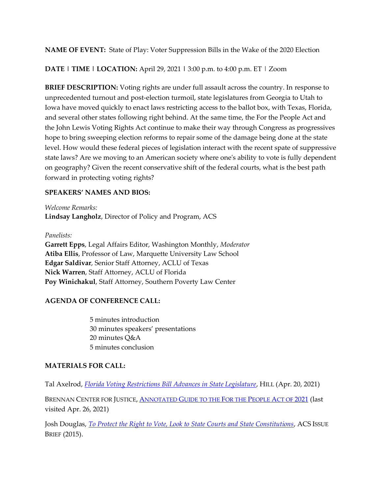**NAME OF EVENT:** State of Play: Voter Suppression Bills in the Wake of the 2020 Election

**DATE | TIME | LOCATION:** April 29, 2021 **|** 3:00 p.m. to 4:00 p.m. ET | Zoom

**BRIEF DESCRIPTION:** Voting rights are under full assault across the country. In response to unprecedented turnout and post-election turmoil, state legislatures from Georgia to Utah to Iowa have moved quickly to enact laws restricting access to the ballot box, with Texas, Florida, and several other states following right behind. At the same time, the For the People Act and the John Lewis Voting Rights Act continue to make their way through Congress as progressives hope to bring sweeping election reforms to repair some of the damage being done at the state level. How would these federal pieces of legislation interact with the recent spate of suppressive state laws? Are we moving to an American society where one's ability to vote is fully dependent on geography? Given the recent conservative shift of the federal courts, what is the best path forward in protecting voting rights?

## **SPEAKERS' NAMES AND BIOS:**

*Welcome Remarks:* **Lindsay Langholz**, Director of Policy and Program, ACS

## *Panelists:*

**Garrett Epps**, Legal Affairs Editor, Washington Monthly, *Moderator* **Atiba Ellis**, Professor of Law, Marquette University Law School **Edgar Saldivar**, Senior Staff Attorney, ACLU of Texas **Nick Warren**, Staff Attorney, ACLU of Florida **Poy Winichakul**, Staff Attorney, Southern Poverty Law Center

## **AGENDA OF CONFERENCE CALL:**

5 minutes introduction 30 minutes speakers' presentations 20 minutes Q&A 5 minutes conclusion

## **MATERIALS FOR CALL:**

Tal Axelrod, *[Florida Voting Restrictions Bill Advances in State Legislature](https://thehill.com/homenews/state-watch/549301-florida-voting-restrictions-bill-advances-in-state-legislature)*, HILL (Apr. 20, 2021)

BRENNAN CENTER FOR JUSTICE, **ANNOTATED G[UIDE TO THE](https://www.brennancenter.org/our-work/policy-solutions/annotated-guide-people-act-2021) FOR THE PEOPLE ACT OF 2021** (last visited Apr. 26, 2021)

Josh Douglas, *[To Protect the Right to Vote, Look to State Courts and State Constitutions](https://www.acslaw.org/wp-content/uploads/2018/04/Douglas_Right_to_Vote_State_Courts_and_Constitutions_-_Issue_Brief_1.pdf)*, ACS ISSUE BRIEF (2015).